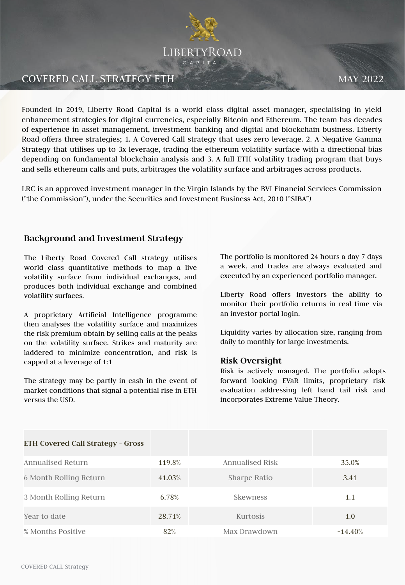

# **COVERED CALL STRATEGY ETH MAY 2022**

Founded in 2019, Liberty Road Capital is a world class digital asset manager, specialising in yield enhancement strategies for digital currencies, especially Bitcoin and Ethereum. The team has decades of experience in asset management, investment banking and digital and blockchain business. Liberty Road offers three strategies; 1. A Covered Call strategy that uses zero leverage. 2. A Negative Gamma Strategy that utilises up to 3x leverage, trading the ethereum volatility surface with a directional bias depending on fundamental blockchain analysis and 3. A full ETH volatility trading program that buys and sells ethereum calls and puts, arbitrages the volatility surface and arbitrages across products.

LRC is an approved investment manager in the Virgin Islands by the BVI Financial Services Commission ("the Commission"), under the Securities and Investment Business Act, 2010 ("SIBA")

# **Background and Investment Strategy**

The Liberty Road Covered Call strategy utilises world class quantitative methods to map a live volatility surface from individual exchanges, and produces both individual exchange and combined volatility surfaces.

A proprietary Artificial Intelligence programme then analyses the volatility surface and maximizes the risk premium obtain by selling calls at the peaks on the volatility surface. Strikes and maturity are laddered to minimize concentration, and risk is capped at a leverage of 1:1

The strategy may be partly in cash in the event of market conditions that signal a potential rise in ETH versus the USD.

The portfolio is monitored 24 hours a day 7 days a week, and trades are always evaluated and executed by an experienced portfolio manager.

Liberty Road offers investors the ability to monitor their portfolio returns in real time via an investor portal login.

Liquidity varies by allocation size, ranging from daily to monthly for large investments.

#### **Risk Oversight**

Risk is actively managed. The portfolio adopts forward looking EVaR limits, proprietary risk evaluation addressing left hand tail risk and incorporates Extreme Value Theory.

| <b>ETH Covered Call Strategy - Gross</b> |        |                        |            |
|------------------------------------------|--------|------------------------|------------|
| Annualised Return                        | 119.8% | <b>Annualised Risk</b> | 35.0%      |
| 6 Month Rolling Return                   | 41.03% | Sharpe Ratio           | 3.41       |
| 3 Month Rolling Return                   | 6.78%  | <b>Skewness</b>        | 1.1        |
| Year to date                             | 28.71% | Kurtosis               | 1.0        |
| % Months Positive                        | 82%    | Max Drawdown           | $-14.40\%$ |